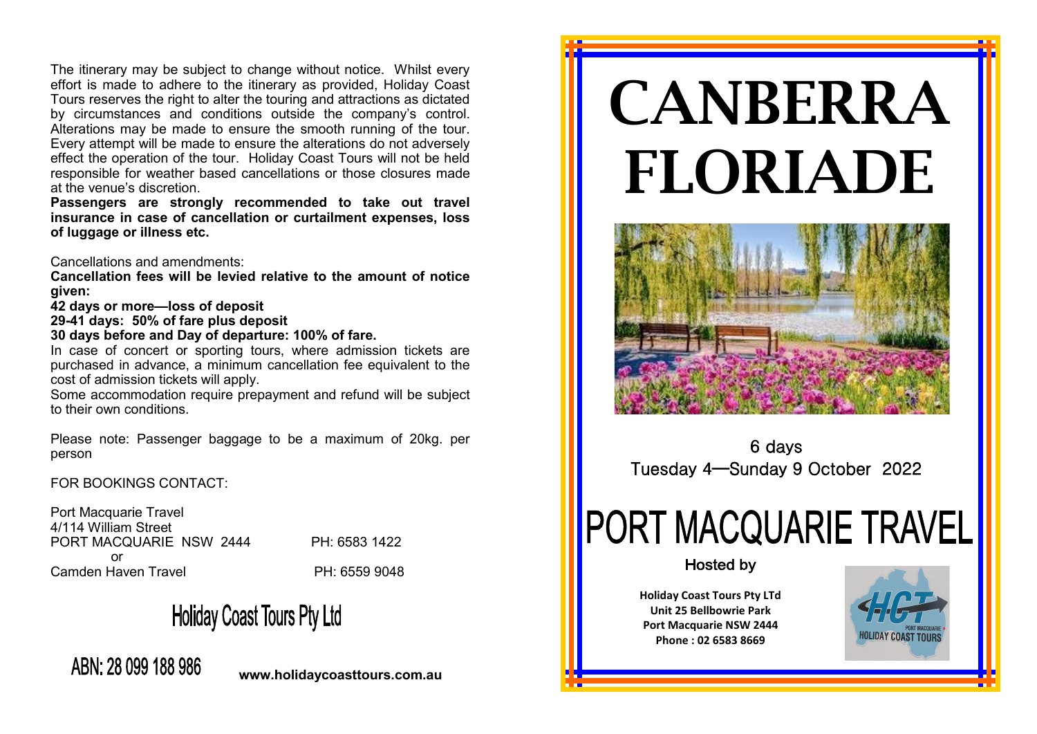The itinerary may be subject to change without notice. Whilst every effort is made to adhere to the itinerary as provided, Holiday Coast Tours reserves the right to alter the touring and attractions as dictated by circumstances and conditions outside the company's control. Alterations may be made to ensure the smooth running of the tour. Every attempt will be made to ensure the alterations do not adversely effect the operation of the tour. Holiday Coast Tours will not be held responsible for weather based cancellations or those closures made at the venue's discretion.

**Passengers are strongly recommended to take out travel insurance in case of cancellation or curtailment expenses, loss of luggage or illness etc.** 

Cancellations and amendments:

**Cancellation fees will be levied relative to the amount of notice given:**

**42 days or more—loss of deposit**

**29-41 days: 50% of fare plus deposit**

**30 days before and Day of departure: 100% of fare.**

In case of concert or sporting tours, where admission tickets are purchased in advance, a minimum cancellation fee equivalent to the cost of admission tickets will apply.

Some accommodation require prepayment and refund will be subject to their own conditions.

Please note: Passenger baggage to be a maximum of 20kg. per person

FOR BOOKINGS CONTACT:

Port Macquarie Travel 4/114 William Street PORT MACQUARIE NSW 2444 PH: 6583 1422 or Camden Haven Travel **PH: 6559 9048** 

## **Holiday Coast Tours Pty Ltd**

ABN: 28 099 188 986

**www.holidaycoasttours.com.au**

# CANBERRA FLORIADE



6 days Tuesday 4—Sunday 9 October 2022

# **PORT MACQUARIE TRAVEL**

#### **Hosted by**

**Holiday Coast Tours Pty LTd Unit 25 Bellbowrie Park Port Macquarie NSW 2444 Phone : 02 6583 8669**

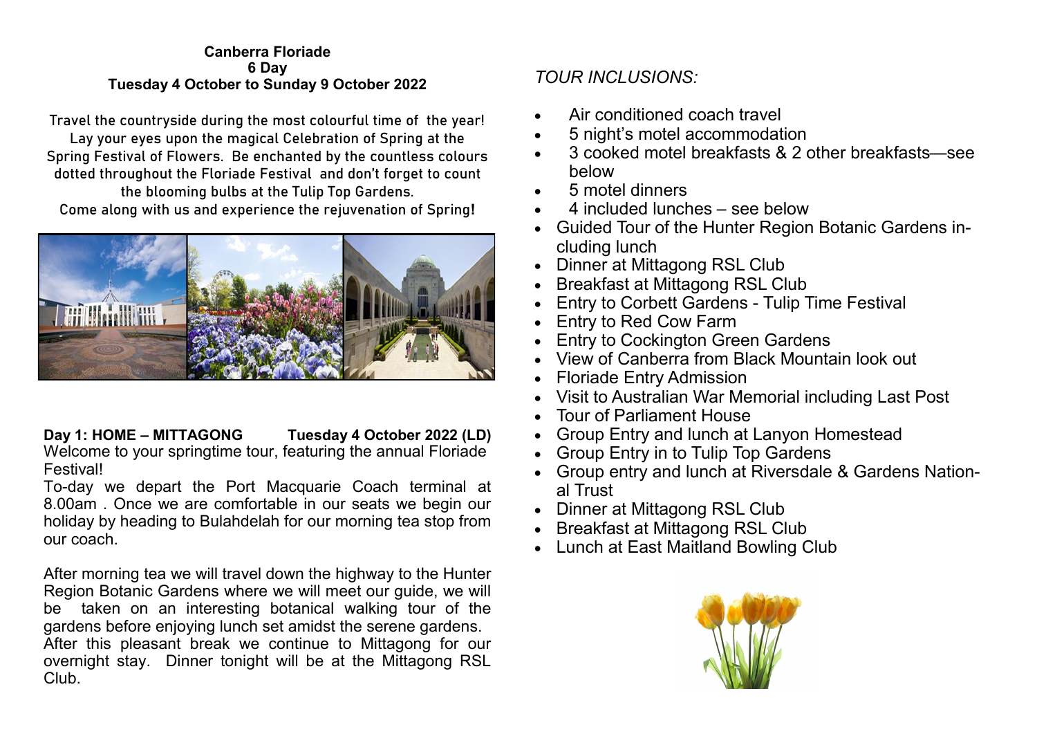#### **Canberra Floriade 6 Day Tuesday 4 October to Sunday 9 October 2022**

Travel the countryside during the most colourful time of the year! Lay your eyes upon the magical Celebration of Spring at the Spring Festival of Flowers. Be enchanted by the countless colours dotted throughout the Floriade Festival and don't forget to count the blooming bulbs at the Tulip Top Gardens. Come along with us and experience the rejuvenation of Spring**!**



### **Day 1: HOME – MITTAGONG Tuesday 4 October 2022 (LD)**

Welcome to your springtime tour, featuring the annual Floriade Festival!

To-day we depart the Port Macquarie Coach terminal at 8.00am . Once we are comfortable in our seats we begin our holiday by heading to Bulahdelah for our morning tea stop from our coach.

After morning tea we will travel down the highway to the Hunter Region Botanic Gardens where we will meet our guide, we will be taken on an interesting botanical walking tour of the gardens before enjoying lunch set amidst the serene gardens. After this pleasant break we continue to Mittagong for our overnight stay. Dinner tonight will be at the Mittagong RSL Club.

#### *TOUR INCLUSIONS:*

- Air conditioned coach travel
- 5 night's motel accommodation
- 3 cooked motel breakfasts & 2 other breakfasts—see below
- 5 motel dinners
- 4 included lunches see below
- Guided Tour of the Hunter Region Botanic Gardens including lunch
- Dinner at Mittagong RSL Club
- Breakfast at Mittagong RSL Club
- Entry to Corbett Gardens Tulip Time Festival
- Entry to Red Cow Farm
- **Entry to Cockington Green Gardens**
- View of Canberra from Black Mountain look out
- Floriade Entry Admission
- Visit to Australian War Memorial including Last Post
- Tour of Parliament House
- Group Entry and lunch at Lanyon Homestead
- Group Entry in to Tulip Top Gardens
- Group entry and lunch at Riversdale & Gardens National Trust
- Dinner at Mittagong RSL Club
- Breakfast at Mittagong RSL Club
- Lunch at East Maitland Bowling Club

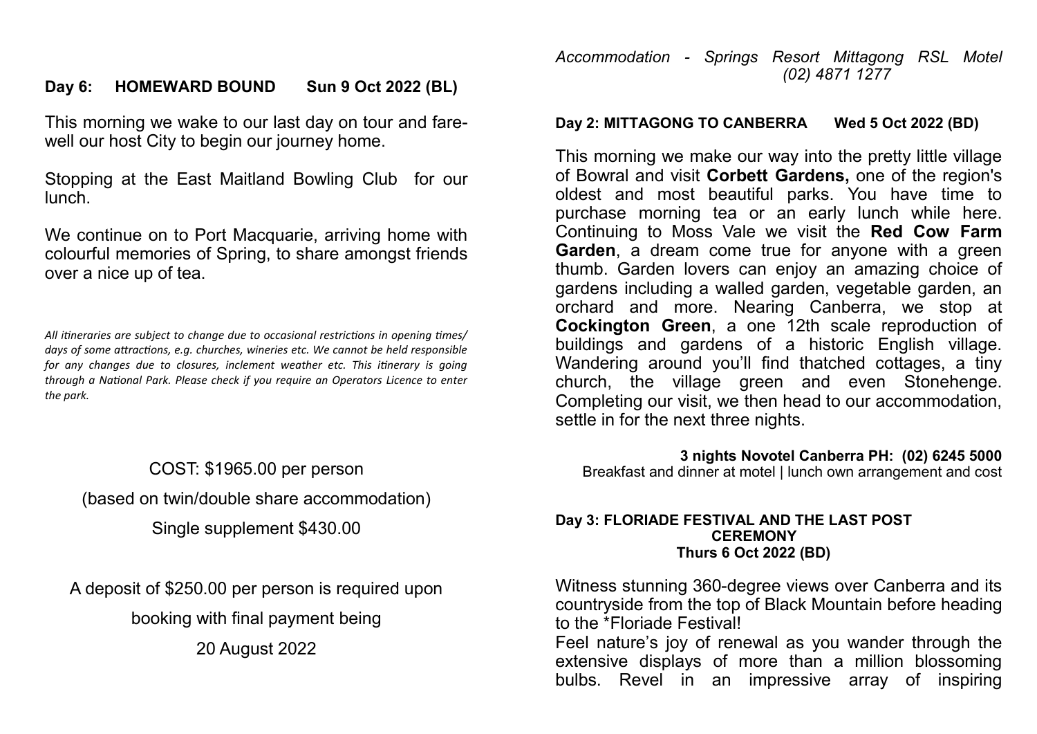#### **Day 6: HOMEWARD BOUND Sun 9 Oct 2022 (BL)**

This morning we wake to our last day on tour and farewell our host City to begin our journey home.

Stopping at the East Maitland Bowling Club for our lunch.

We continue on to Port Macquarie, arriving home with colourful memories of Spring, to share amongst friends over a nice up of tea.

*All itineraries are subject to change due to occasional restrictions in opening times/ days of some attractions, e.g. churches, wineries etc. We cannot be held responsible for any changes due to closures, inclement weather etc. This itinerary is going through a National Park. Please check if you require an Operators Licence to enter the park.*

COST: \$1965.00 per person (based on twin/double share accommodation) Single supplement \$430.00

A deposit of \$250.00 per person is required upon booking with final payment being 20 August 2022

#### *Accommodation - Springs Resort Mittagong RSL Motel (02) 4871 1277*

#### **Day 2: MITTAGONG TO CANBERRA Wed 5 Oct 2022 (BD)**

This morning we make our way into the pretty little village of Bowral and visit **Corbett Gardens,** one of the region's oldest and most beautiful parks. You have time to purchase morning tea or an early lunch while here. Continuing to Moss Vale we visit the **Red Cow Farm Garden**, a dream come true for anyone with a green thumb. Garden lovers can enjoy an amazing choice of gardens including a walled garden, vegetable garden, an orchard and more. Nearing Canberra, we stop at **Cockington Green**, a one 12th scale reproduction of buildings and gardens of a historic English village. Wandering around you'll find thatched cottages, a tiny church, the village green and even Stonehenge. Completing our visit, we then head to our accommodation, settle in for the next three nights.

**3 nights Novotel Canberra PH: (02) 6245 5000** Breakfast and dinner at motel | lunch own arrangement and cost

#### **Day 3: FLORIADE FESTIVAL AND THE LAST POST CEREMONY Thurs 6 Oct 2022 (BD)**

Witness stunning 360-degree views over Canberra and its countryside from the top of Black Mountain before heading to the \*Floriade Festival!

Feel nature's joy of renewal as you wander through the extensive displays of more than a million blossoming bulbs. Revel in an impressive array of inspiring